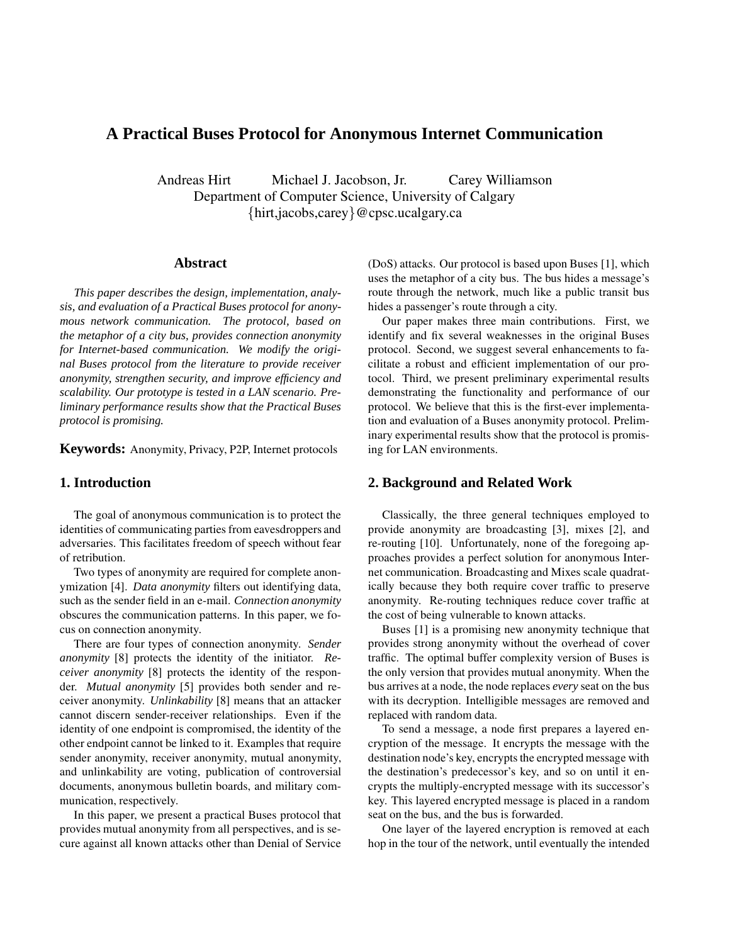# **A Practical Buses Protocol for Anonymous Internet Communication**

Andreas Hirt Michael J. Jacobson, Jr. Carey Williamson Department of Computer Science, University of Calgary {hirt,jacobs,carey}@cpsc.ucalgary.ca

#### **Abstract**

*This paper describes the design, implementation, analysis, and evaluation of a Practical Buses protocol for anonymous network communication. The protocol, based on the metaphor of a city bus, provides connection anonymity for Internet-based communication. We modify the original Buses protocol from the literature to provide receiver anonymity, strengthen security, and improve efficiency and scalability. Our prototype is tested in a LAN scenario. Preliminary performance results show that the Practical Buses protocol is promising.*

**Keywords:** Anonymity, Privacy, P2P, Internet protocols

#### **1. Introduction**

The goal of anonymous communication is to protect the identities of communicating parties from eavesdroppers and adversaries. This facilitates freedom of speech without fear of retribution.

Two types of anonymity are required for complete anonymization [4]. *Data anonymity* filters out identifying data, such as the sender field in an e-mail. *Connection anonymity* obscures the communication patterns. In this paper, we focus on connection anonymity.

There are four types of connection anonymity. *Sender anonymity* [8] protects the identity of the initiator. *Receiver anonymity* [8] protects the identity of the responder. *Mutual anonymity* [5] provides both sender and receiver anonymity. *Unlinkability* [8] means that an attacker cannot discern sender-receiver relationships. Even if the identity of one endpoint is compromised, the identity of the other endpoint cannot be linked to it. Examples that require sender anonymity, receiver anonymity, mutual anonymity, and unlinkability are voting, publication of controversial documents, anonymous bulletin boards, and military communication, respectively.

In this paper, we present a practical Buses protocol that provides mutual anonymity from all perspectives, and is secure against all known attacks other than Denial of Service (DoS) attacks. Our protocol is based upon Buses [1], which uses the metaphor of a city bus. The bus hides a message's route through the network, much like a public transit bus hides a passenger's route through a city.

Our paper makes three main contributions. First, we identify and fix several weaknesses in the original Buses protocol. Second, we suggest several enhancements to facilitate a robust and efficient implementation of our protocol. Third, we present preliminary experimental results demonstrating the functionality and performance of our protocol. We believe that this is the first-ever implementation and evaluation of a Buses anonymity protocol. Preliminary experimental results show that the protocol is promising for LAN environments.

#### **2. Background and Related Work**

Classically, the three general techniques employed to provide anonymity are broadcasting [3], mixes [2], and re-routing [10]. Unfortunately, none of the foregoing approaches provides a perfect solution for anonymous Internet communication. Broadcasting and Mixes scale quadratically because they both require cover traffic to preserve anonymity. Re-routing techniques reduce cover traffic at the cost of being vulnerable to known attacks.

Buses [1] is a promising new anonymity technique that provides strong anonymity without the overhead of cover traffic. The optimal buffer complexity version of Buses is the only version that provides mutual anonymity. When the bus arrives at a node, the node replaces *every* seat on the bus with its decryption. Intelligible messages are removed and replaced with random data.

To send a message, a node first prepares a layered encryption of the message. It encrypts the message with the destination node's key, encrypts the encrypted message with the destination's predecessor's key, and so on until it encrypts the multiply-encrypted message with its successor's key. This layered encrypted message is placed in a random seat on the bus, and the bus is forwarded.

One layer of the layered encryption is removed at each hop in the tour of the network, until eventually the intended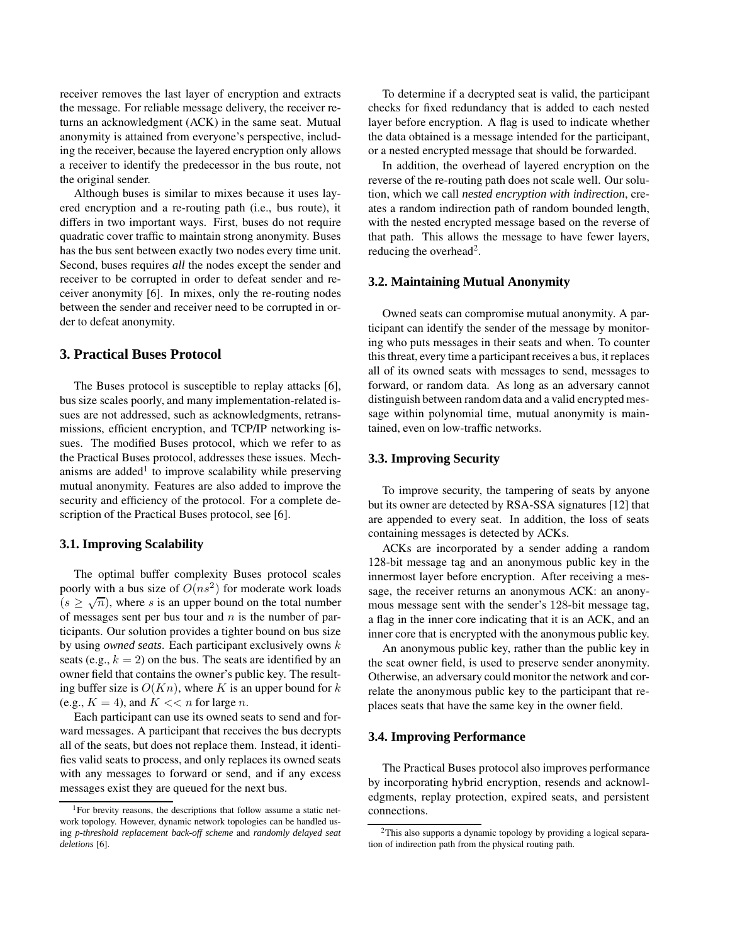receiver removes the last layer of encryption and extracts the message. For reliable message delivery, the receiver returns an acknowledgment (ACK) in the same seat. Mutual anonymity is attained from everyone's perspective, including the receiver, because the layered encryption only allows a receiver to identify the predecessor in the bus route, not the original sender.

Although buses is similar to mixes because it uses layered encryption and a re-routing path (i.e., bus route), it differs in two important ways. First, buses do not require quadratic cover traffic to maintain strong anonymity. Buses has the bus sent between exactly two nodes every time unit. Second, buses requires *all* the nodes except the sender and receiver to be corrupted in order to defeat sender and receiver anonymity [6]. In mixes, only the re-routing nodes between the sender and receiver need to be corrupted in order to defeat anonymity.

#### **3. Practical Buses Protocol**

The Buses protocol is susceptible to replay attacks [6], bus size scales poorly, and many implementation-related issues are not addressed, such as acknowledgments, retransmissions, efficient encryption, and TCP/IP networking issues. The modified Buses protocol, which we refer to as the Practical Buses protocol, addresses these issues. Mechanisms are added<sup>1</sup> to improve scalability while preserving mutual anonymity. Features are also added to improve the security and efficiency of the protocol. For a complete description of the Practical Buses protocol, see [6].

#### **3.1. Improving Scalability**

The optimal buffer complexity Buses protocol scales poorly with a bus size of  $O(ns^2)$  for moderate work loads  $(s \ge \sqrt{n})$ , where s is an upper bound on the total number of messages sent per bus tour and  $n$  is the number of participants. Our solution provides a tighter bound on bus size by using *owned seats*. Each participant exclusively owns k seats (e.g.,  $k = 2$ ) on the bus. The seats are identified by an owner field that contains the owner's public key. The resulting buffer size is  $O(Kn)$ , where K is an upper bound for k (e.g.,  $K = 4$ ), and  $K \ll n$  for large *n*.

Each participant can use its owned seats to send and forward messages. A participant that receives the bus decrypts all of the seats, but does not replace them. Instead, it identifies valid seats to process, and only replaces its owned seats with any messages to forward or send, and if any excess messages exist they are queued for the next bus.

To determine if a decrypted seat is valid, the participant checks for fixed redundancy that is added to each nested layer before encryption. A flag is used to indicate whether the data obtained is a message intended for the participant, or a nested encrypted message that should be forwarded.

In addition, the overhead of layered encryption on the reverse of the re-routing path does not scale well. Our solution, which we call *nested encryption with indirection*, creates a random indirection path of random bounded length, with the nested encrypted message based on the reverse of that path. This allows the message to have fewer layers, reducing the overhead<sup>2</sup>.

## **3.2. Maintaining Mutual Anonymity**

Owned seats can compromise mutual anonymity. A participant can identify the sender of the message by monitoring who puts messages in their seats and when. To counter this threat, every time a participant receives a bus, it replaces all of its owned seats with messages to send, messages to forward, or random data. As long as an adversary cannot distinguish between random data and a valid encrypted message within polynomial time, mutual anonymity is maintained, even on low-traffic networks.

#### **3.3. Improving Security**

To improve security, the tampering of seats by anyone but its owner are detected by RSA-SSA signatures [12] that are appended to every seat. In addition, the loss of seats containing messages is detected by ACKs.

ACKs are incorporated by a sender adding a random 128-bit message tag and an anonymous public key in the innermost layer before encryption. After receiving a message, the receiver returns an anonymous ACK: an anonymous message sent with the sender's 128-bit message tag, a flag in the inner core indicating that it is an ACK, and an inner core that is encrypted with the anonymous public key.

An anonymous public key, rather than the public key in the seat owner field, is used to preserve sender anonymity. Otherwise, an adversary could monitor the network and correlate the anonymous public key to the participant that replaces seats that have the same key in the owner field.

#### **3.4. Improving Performance**

The Practical Buses protocol also improves performance by incorporating hybrid encryption, resends and acknowledgments, replay protection, expired seats, and persistent connections.

<sup>&</sup>lt;sup>1</sup>For brevity reasons, the descriptions that follow assume a static network topology. However, dynamic network topologies can be handled using *p-threshold replacement back-off scheme* and *randomly delayed seat deletions* [6].

<sup>2</sup>This also supports a dynamic topology by providing a logical separation of indirection path from the physical routing path.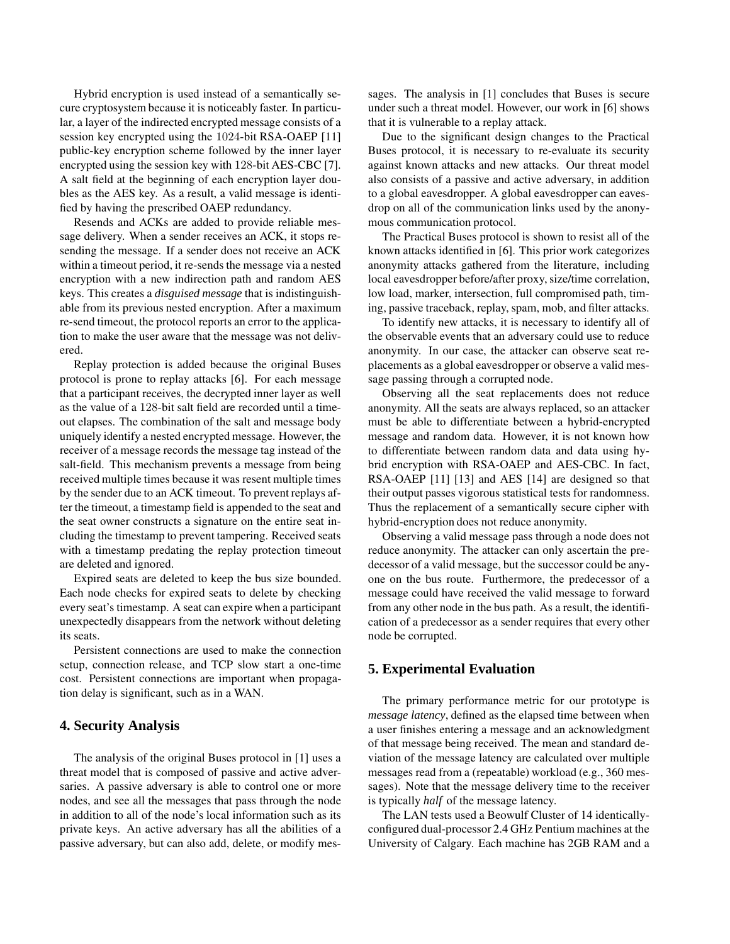Hybrid encryption is used instead of a semantically secure cryptosystem because it is noticeably faster. In particular, a layer of the indirected encrypted message consists of a session key encrypted using the 1024-bit RSA-OAEP [11] public-key encryption scheme followed by the inner layer encrypted using the session key with 128-bit AES-CBC [7]. A salt field at the beginning of each encryption layer doubles as the AES key. As a result, a valid message is identified by having the prescribed OAEP redundancy.

Resends and ACKs are added to provide reliable message delivery. When a sender receives an ACK, it stops resending the message. If a sender does not receive an ACK within a timeout period, it re-sends the message via a nested encryption with a new indirection path and random AES keys. This creates a *disguised message* that is indistinguishable from its previous nested encryption. After a maximum re-send timeout, the protocol reports an error to the application to make the user aware that the message was not delivered.

Replay protection is added because the original Buses protocol is prone to replay attacks [6]. For each message that a participant receives, the decrypted inner layer as well as the value of a 128-bit salt field are recorded until a timeout elapses. The combination of the salt and message body uniquely identify a nested encrypted message. However, the receiver of a message records the message tag instead of the salt-field. This mechanism prevents a message from being received multiple times because it was resent multiple times by the sender due to an ACK timeout. To prevent replays after the timeout, a timestamp field is appended to the seat and the seat owner constructs a signature on the entire seat including the timestamp to prevent tampering. Received seats with a timestamp predating the replay protection timeout are deleted and ignored.

Expired seats are deleted to keep the bus size bounded. Each node checks for expired seats to delete by checking every seat's timestamp. A seat can expire when a participant unexpectedly disappears from the network without deleting its seats.

Persistent connections are used to make the connection setup, connection release, and TCP slow start a one-time cost. Persistent connections are important when propagation delay is significant, such as in a WAN.

## **4. Security Analysis**

The analysis of the original Buses protocol in [1] uses a threat model that is composed of passive and active adversaries. A passive adversary is able to control one or more nodes, and see all the messages that pass through the node in addition to all of the node's local information such as its private keys. An active adversary has all the abilities of a passive adversary, but can also add, delete, or modify messages. The analysis in [1] concludes that Buses is secure under such a threat model. However, our work in [6] shows that it is vulnerable to a replay attack.

Due to the significant design changes to the Practical Buses protocol, it is necessary to re-evaluate its security against known attacks and new attacks. Our threat model also consists of a passive and active adversary, in addition to a global eavesdropper. A global eavesdropper can eavesdrop on all of the communication links used by the anonymous communication protocol.

The Practical Buses protocol is shown to resist all of the known attacks identified in [6]. This prior work categorizes anonymity attacks gathered from the literature, including local eavesdropper before/after proxy, size/time correlation, low load, marker, intersection, full compromised path, timing, passive traceback, replay, spam, mob, and filter attacks.

To identify new attacks, it is necessary to identify all of the observable events that an adversary could use to reduce anonymity. In our case, the attacker can observe seat replacements as a global eavesdropper or observe a valid message passing through a corrupted node.

Observing all the seat replacements does not reduce anonymity. All the seats are always replaced, so an attacker must be able to differentiate between a hybrid-encrypted message and random data. However, it is not known how to differentiate between random data and data using hybrid encryption with RSA-OAEP and AES-CBC. In fact, RSA-OAEP [11] [13] and AES [14] are designed so that their output passes vigorous statistical tests for randomness. Thus the replacement of a semantically secure cipher with hybrid-encryption does not reduce anonymity.

Observing a valid message pass through a node does not reduce anonymity. The attacker can only ascertain the predecessor of a valid message, but the successor could be anyone on the bus route. Furthermore, the predecessor of a message could have received the valid message to forward from any other node in the bus path. As a result, the identification of a predecessor as a sender requires that every other node be corrupted.

# **5. Experimental Evaluation**

The primary performance metric for our prototype is *message latency*, defined as the elapsed time between when a user finishes entering a message and an acknowledgment of that message being received. The mean and standard deviation of the message latency are calculated over multiple messages read from a (repeatable) workload (e.g., 360 messages). Note that the message delivery time to the receiver is typically *half* of the message latency.

The LAN tests used a Beowulf Cluster of 14 identicallyconfigured dual-processor 2.4 GHz Pentium machines at the University of Calgary. Each machine has 2GB RAM and a